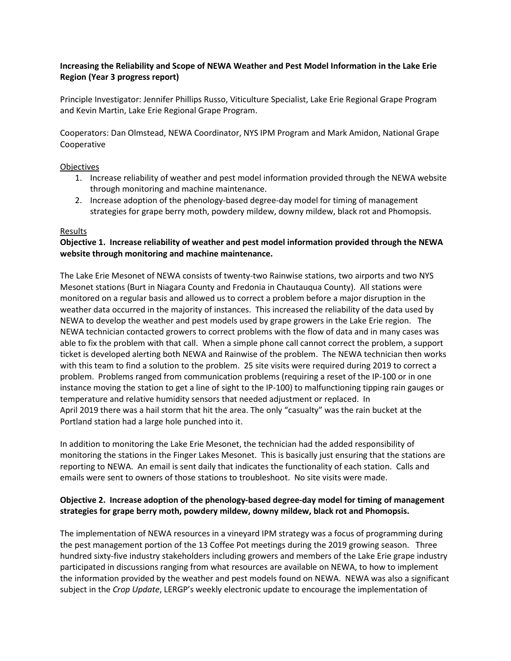# **Increasing the Reliability and Scope of NEWA Weather and Pest Model Information in the Lake Erie Region (Year 3 progress report)**

Principle Investigator: Jennifer Phillips Russo, Viticulture Specialist, Lake Erie Regional Grape Program and Kevin Martin, Lake Erie Regional Grape Program.

Cooperators: Dan Olmstead, NEWA Coordinator, NYS IPM Program and Mark Amidon, National Grape Cooperative

### **Objectives**

- 1. Increase reliability of weather and pest model information provided through the NEWA website through monitoring and machine maintenance.
- 2. Increase adoption of the phenology-based degree-day model for timing of management strategies for grape berry moth, powdery mildew, downy mildew, black rot and Phomopsis.

# Results

# **Objective 1. Increase reliability of weather and pest model information provided through the NEWA website through monitoring and machine maintenance.**

The Lake Erie Mesonet of NEWA consists of twenty-two Rainwise stations, two airports and two NYS Mesonet stations (Burt in Niagara County and Fredonia in Chautauqua County). All stations were monitored on a regular basis and allowed us to correct a problem before a major disruption in the weather data occurred in the majority of instances. This increased the reliability of the data used by NEWA to develop the weather and pest models used by grape growers in the Lake Erie region. The NEWA technician contacted growers to correct problems with the flow of data and in many cases was able to fix the problem with that call. When a simple phone call cannot correct the problem, a support ticket is developed alerting both NEWA and Rainwise of the problem. The NEWA technician then works with this team to find a solution to the problem. 25 site visits were required during 2019 to correct a problem. Problems ranged from communication problems (requiring a reset of the IP-100 or in one instance moving the station to get a line of sight to the IP-100) to malfunctioning tipping rain gauges or temperature and relative humidity sensors that needed adjustment or replaced. In April 2019 there was a hail storm that hit the area. The only "casualty" was the rain bucket at the Portland station had a large hole punched into it.

In addition to monitoring the Lake Erie Mesonet, the technician had the added responsibility of monitoring the stations in the Finger Lakes Mesonet. This is basically just ensuring that the stations are reporting to NEWA. An email is sent daily that indicates the functionality of each station. Calls and emails were sent to owners of those stations to troubleshoot. No site visits were made.

# **Objective 2. Increase adoption of the phenology-based degree-day model for timing of management strategies for grape berry moth, powdery mildew, downy mildew, black rot and Phomopsis.**

The implementation of NEWA resources in a vineyard IPM strategy was a focus of programming during the pest management portion of the 13 Coffee Pot meetings during the 2019 growing season. Three hundred sixty-five industry stakeholders including growers and members of the Lake Erie grape industry participated in discussions ranging from what resources are available on NEWA, to how to implement the information provided by the weather and pest models found on NEWA. NEWA was also a significant subject in the *Crop Update*, LERGP's weekly electronic update to encourage the implementation of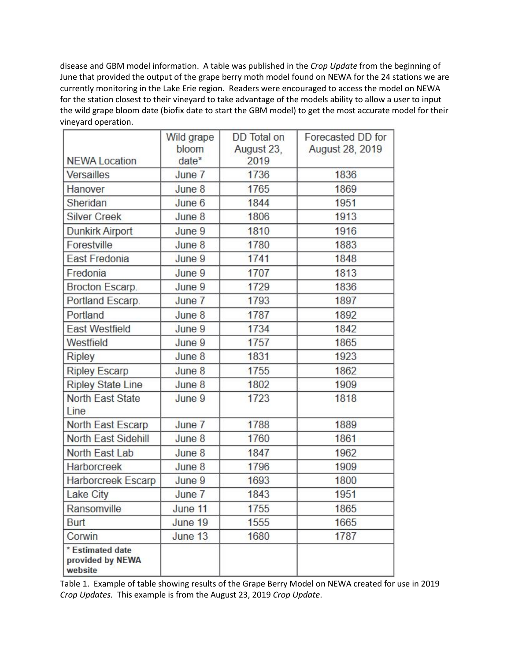disease and GBM model information. A table was published in the *Crop Update* from the beginning of June that provided the output of the grape berry moth model found on NEWA for the 24 stations we are currently monitoring in the Lake Erie region. Readers were encouraged to access the model on NEWA for the station closest to their vineyard to take advantage of the models ability to allow a user to input the wild grape bloom date (biofix date to start the GBM model) to get the most accurate model for their vineyard operation.

|                                                 | Wild grape       | <b>DD</b> Total on | Forecasted DD for |
|-------------------------------------------------|------------------|--------------------|-------------------|
| <b>NEWA Location</b>                            | bloom<br>$date*$ | August 23,<br>2019 | August 28, 2019   |
| Versailles                                      | June 7           | 1736               | 1836              |
| Hanover                                         | June 8           | 1765               | 1869              |
| Sheridan                                        | June 6           | 1844               | 1951              |
| <b>Silver Creek</b>                             | June 8           | 1806               | 1913              |
| <b>Dunkirk Airport</b>                          | June 9           | 1810               | 1916              |
| Forestville                                     | June 8           | 1780               | 1883              |
| <b>East Fredonia</b>                            | June 9           | 1741               | 1848              |
| Fredonia                                        | June 9           | 1707               | 1813              |
| Brocton Escarp.                                 | June 9           | 1729               | 1836              |
| Portland Escarp.                                | June 7           | 1793               | 1897              |
| Portland                                        | June 8           | 1787               | 1892              |
| <b>East Westfield</b>                           | June 9           | 1734               | 1842              |
| Westfield                                       | June 9           | 1757               | 1865              |
| <b>Ripley</b>                                   | June 8           | 1831               | 1923              |
| <b>Ripley Escarp</b>                            | June 8           | 1755               | 1862              |
| <b>Ripley State Line</b>                        | June 8           | 1802               | 1909              |
| <b>North East State</b><br>Line                 | June 9           | 1723               | 1818              |
| North East Escarp                               | June 7           | 1788               | 1889              |
| North East Sidehill                             | June 8           | 1760               | 1861              |
| North East Lab                                  | June 8           | 1847               | 1962              |
| Harborcreek                                     | June 8           | 1796               | 1909              |
| Harborcreek Escarp                              | June 9           | 1693               | 1800              |
| Lake City                                       | June 7           | 1843               | 1951              |
| Ransomville                                     | June 11          | 1755               | 1865              |
| <b>Burt</b>                                     | June 19          | 1555               | 1665              |
| Corwin                                          | June 13          | 1680               | 1787              |
| * Estimated date<br>provided by NEWA<br>website |                  |                    |                   |

Table 1. Example of table showing results of the Grape Berry Model on NEWA created for use in 2019 *Crop Updates.* This example is from the August 23, 2019 *Crop Update*.